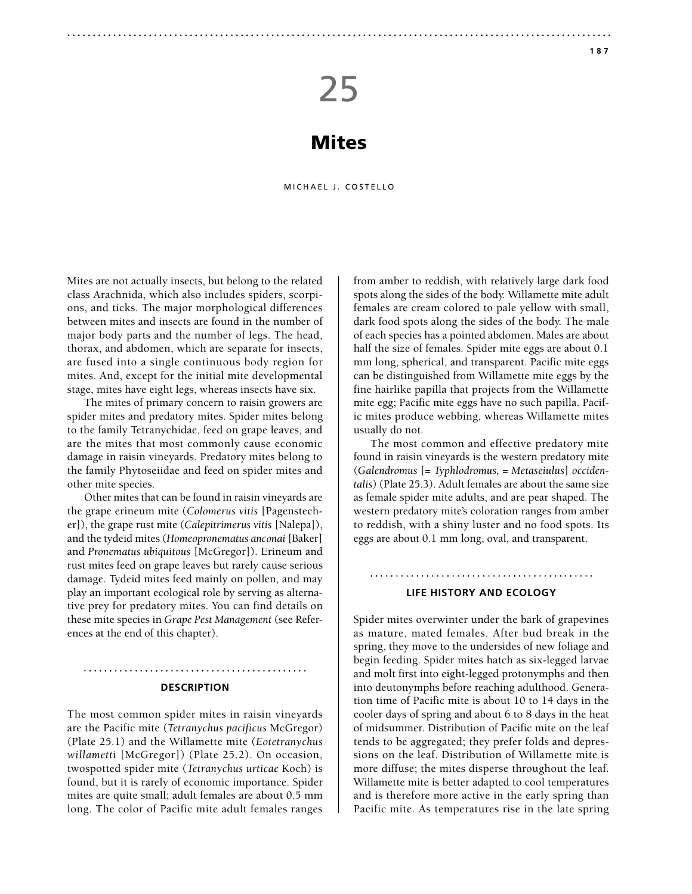# 25

## Mites

MICHAEL J. COSTELLO

Mites are not actually insects, but belong to the related class Arachnida, which also includes spiders, scorpions, and ticks. The major morphological differences between mites and insects are found in the number of major body parts and the number of legs. The head, thorax, and abdomen, which are separate for insects, are fused into a single continuous body region for mites. And, except for the initial mite developmental stage, mites have eight legs, whereas insects have six.

The mites of primary concern to raisin growers are spider mites and predatory mites. Spider mites belong to the family Tetranychidae, feed on grape leaves, and are the mites that most commonly cause economic damage in raisin vineyards. Predatory mites belong to the family Phytoseiidae and feed on spider mites and other mite species.

Other mites that can be found in raisin vineyards are the grape erineum mite (*Colomerus vitis* [Pagenstecher]), the grape rust mite (*Calepitrimerus vitis* [Nalepa]), and the tydeid mites (*Homeopronematus anconai* [Baker] and *Pronematus ubiquitous* [McGregor]). Erineum and rust mites feed on grape leaves but rarely cause serious damage. Tydeid mites feed mainly on pollen, and may play an important ecological role by serving as alternative prey for predatory mites. You can find details on these mite species in *Grape Pest Management* (see References at the end of this chapter).

#### **Description**

The most common spider mites in raisin vineyards are the Pacific mite (*Tetranychus pacificus* McGregor) (Plate 25.1) and the Willamette mite (*Eotetranychus willametti* [McGregor]) (Plate 25.2). On occasion, twospotted spider mite (*Tetranychus urticae* Koch) is found, but it is rarely of economic importance. Spider mites are quite small; adult females are about 0.5 mm long. The color of Pacific mite adult females ranges from amber to reddish, with relatively large dark food spots along the sides of the body. Willamette mite adult females are cream colored to pale yellow with small, dark food spots along the sides of the body. The male of each species has a pointed abdomen. Males are about half the size of females. Spider mite eggs are about 0.1 mm long, spherical, and transparent. Pacific mite eggs can be distinguished from Willamette mite eggs by the fine hairlike papilla that projects from the Willamette mite egg; Pacific mite eggs have no such papilla. Pacific mites produce webbing, whereas Willamette mites usually do not.

The most common and effective predatory mite found in raisin vineyards is the western predatory mite (*Galendromus* [= *Typhlodromus,* = *Metaseiulus*] *occidentalis*) (Plate 25.3). Adult females are about the same size as female spider mite adults, and are pear shaped. The western predatory mite's coloration ranges from amber to reddish, with a shiny luster and no food spots. Its eggs are about 0.1 mm long, oval, and transparent.

#### **Life History and Ecology**

Spider mites overwinter under the bark of grapevines as mature, mated females. After bud break in the spring, they move to the undersides of new foliage and begin feeding. Spider mites hatch as six-legged larvae and molt first into eight-legged protonymphs and then into deutonymphs before reaching adulthood. Generation time of Pacific mite is about 10 to 14 days in the cooler days of spring and about 6 to 8 days in the heat of midsummer. Distribution of Pacific mite on the leaf tends to be aggregated; they prefer folds and depressions on the leaf. Distribution of Willamette mite is more diffuse; the mites disperse throughout the leaf. Willamette mite is better adapted to cool temperatures and is therefore more active in the early spring than Pacific mite. As temperatures rise in the late spring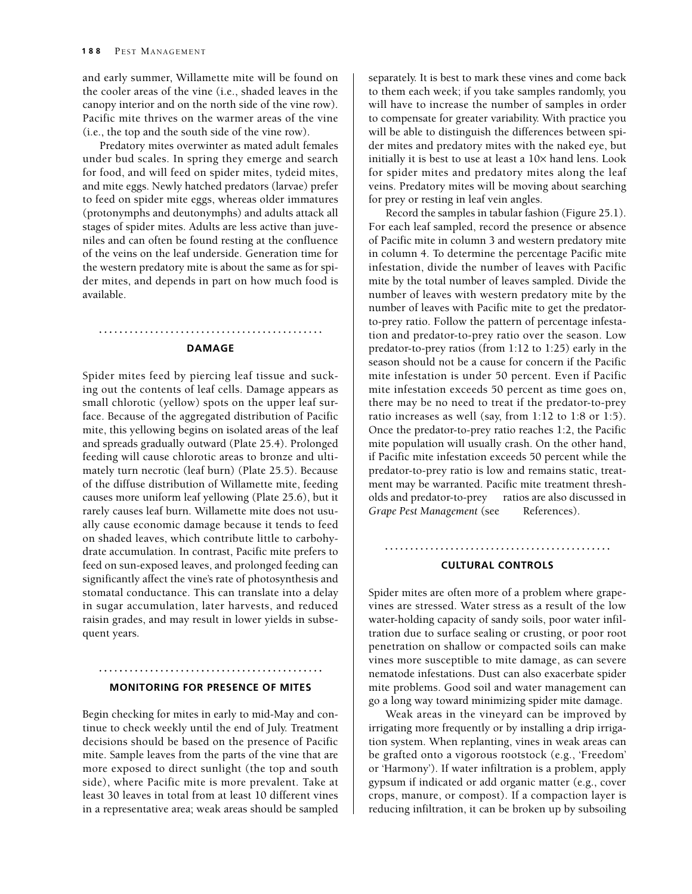and early summer, Willamette mite will be found on the cooler areas of the vine (i.e., shaded leaves in the canopy interior and on the north side of the vine row). Pacific mite thrives on the warmer areas of the vine (i.e., the top and the south side of the vine row).

Predatory mites overwinter as mated adult females under bud scales. In spring they emerge and search for food, and will feed on spider mites, tydeid mites, and mite eggs. Newly hatched predators (larvae) prefer to feed on spider mite eggs, whereas older immatures (protonymphs and deutonymphs) and adults attack all stages of spider mites. Adults are less active than juveniles and can often be found resting at the confluence of the veins on the leaf underside. Generation time for the western predatory mite is about the same as for spider mites, and depends in part on how much food is available.

#### **Damage**

Spider mites feed by piercing leaf tissue and sucking out the contents of leaf cells. Damage appears as small chlorotic (yellow) spots on the upper leaf surface. Because of the aggregated distribution of Pacific mite, this yellowing begins on isolated areas of the leaf and spreads gradually outward (Plate 25.4). Prolonged feeding will cause chlorotic areas to bronze and ultimately turn necrotic (leaf burn) (Plate 25.5). Because of the diffuse distribution of Willamette mite, feeding causes more uniform leaf yellowing (Plate 25.6), but it rarely causes leaf burn. Willamette mite does not usually cause economic damage because it tends to feed on shaded leaves, which contribute little to carbohydrate accumulation. In contrast, Pacific mite prefers to feed on sun-exposed leaves, and prolonged feeding can significantly affect the vine's rate of photosynthesis and stomatal conductance. This can translate into a delay in sugar accumulation, later harvests, and reduced raisin grades, and may result in lower yields in subsequent years.

#### **Monitoring for Presence of Mites**

Begin checking for mites in early to mid-May and continue to check weekly until the end of July. Treatment decisions should be based on the presence of Pacific mite. Sample leaves from the parts of the vine that are more exposed to direct sunlight (the top and south side), where Pacific mite is more prevalent. Take at least 30 leaves in total from at least 10 different vines in a representative area; weak areas should be sampled separately. It is best to mark these vines and come back to them each week; if you take samples randomly, you will have to increase the number of samples in order to compensate for greater variability. With practice you will be able to distinguish the differences between spider mites and predatory mites with the naked eye, but initially it is best to use at least a 10× hand lens. Look for spider mites and predatory mites along the leaf veins. Predatory mites will be moving about searching for prey or resting in leaf vein angles.

Record the samples in tabular fashion (Figure 25.1). For each leaf sampled, record the presence or absence of Pacific mite in column 3 and western predatory mite in column 4. To determine the percentage Pacific mite infestation, divide the number of leaves with Pacific mite by the total number of leaves sampled. Divide the number of leaves with western predatory mite by the number of leaves with Pacific mite to get the predatorto-prey ratio. Follow the pattern of percentage infestation and predator-to-prey ratio over the season. Low predator-to-prey ratios (from 1:12 to 1:25) early in the season should not be a cause for concern if the Pacific mite infestation is under 50 percent. Even if Pacific mite infestation exceeds 50 percent as time goes on, there may be no need to treat if the predator-to-prey ratio increases as well (say, from 1:12 to 1:8 or 1:5). Once the predator-to-prey ratio reaches 1:2, the Pacific mite population will usually crash. On the other hand, if Pacific mite infestation exceeds 50 percent while the predator-to-prey ratio is low and remains static, treatment may be warranted. Pacific mite treatment thresholds and predator-to-prey ratios are also discussed in *Grape Pest Management* (see References).

### **Cultural Controls**

Spider mites are often more of a problem where grapevines are stressed. Water stress as a result of the low water-holding capacity of sandy soils, poor water infiltration due to surface sealing or crusting, or poor root penetration on shallow or compacted soils can make vines more susceptible to mite damage, as can severe nematode infestations. Dust can also exacerbate spider mite problems. Good soil and water management can go a long way toward minimizing spider mite damage.

Weak areas in the vineyard can be improved by irrigating more frequently or by installing a drip irrigation system. When replanting, vines in weak areas can be grafted onto a vigorous rootstock (e.g., 'Freedom' or 'Harmony'). If water infiltration is a problem, apply gypsum if indicated or add organic matter (e.g., cover crops, manure, or compost). If a compaction layer is reducing infiltration, it can be broken up by subsoiling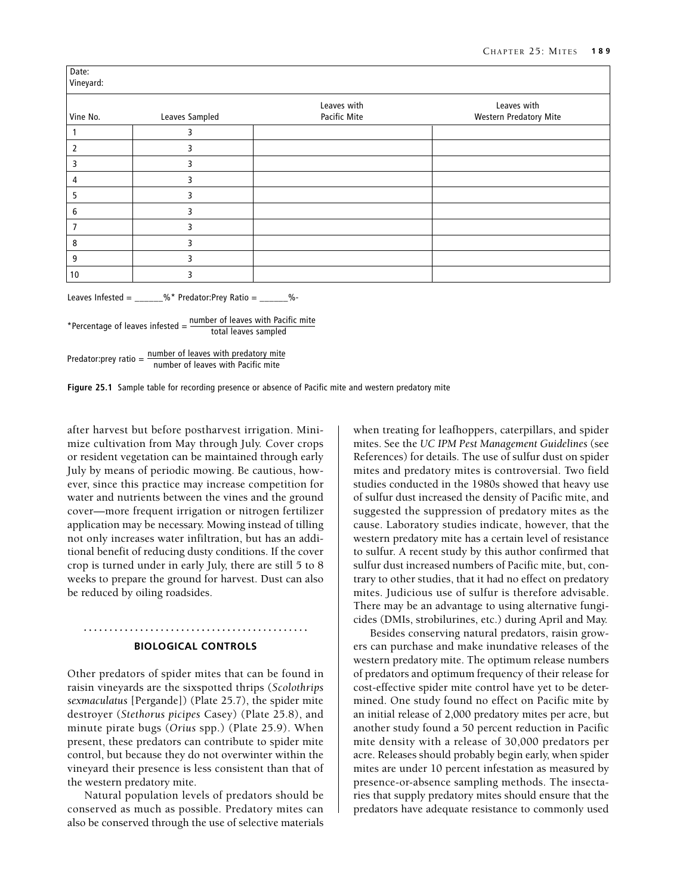| Vine No.       | Leaves Sampled | Leaves with<br>Pacific Mite | Leaves with<br><b>Western Predatory Mite</b> |
|----------------|----------------|-----------------------------|----------------------------------------------|
|                |                |                             |                                              |
| 2              | 3              |                             |                                              |
| 3              | 3              |                             |                                              |
| 4              | 3              |                             |                                              |
| 5              | 3              |                             |                                              |
| 6              | 3              |                             |                                              |
| $\overline{7}$ | 3              |                             |                                              |
| 8              | 3              |                             |                                              |
| 9              | 3              |                             |                                              |
| 10             | 3              |                             |                                              |

Leaves Infested =  $\frac{m}{2}$  <sup>%</sup>\* Predator:Prey Ratio =  $\frac{m}{2}$ 

 number of leaves with Pacific mite \*Percentage of leaves infested  $=$   $\frac{\text{number of leaves min 1 ac}}{\text{total leaves sampled}}$ 

Predator: prey ratio  $=$   $\frac{\text{number of leaves with predator}}{\text{time}}$ number of leaves with Pacific mite

**Figure 25.1** Sample table for recording presence or absence of Pacific mite and western predatory mite

after harvest but before postharvest irrigation. Minimize cultivation from May through July. Cover crops or resident vegetation can be maintained through early July by means of periodic mowing. Be cautious, however, since this practice may increase competition for water and nutrients between the vines and the ground cover—more frequent irrigation or nitrogen fertilizer application may be necessary. Mowing instead of tilling not only increases water infiltration, but has an additional benefit of reducing dusty conditions. If the cover crop is turned under in early July, there are still 5 to 8 weeks to prepare the ground for harvest. Dust can also be reduced by oiling roadsides.

#### **Biological Controls**

Other predators of spider mites that can be found in raisin vineyards are the sixspotted thrips (*Scolothrips sexmaculatus* [Pergande]) (Plate 25.7), the spider mite destroyer (*Stethorus picipes* Casey) (Plate 25.8), and minute pirate bugs (*Orius* spp.) (Plate 25.9). When present, these predators can contribute to spider mite control, but because they do not overwinter within the vineyard their presence is less consistent than that of the western predatory mite.

Natural population levels of predators should be conserved as much as possible. Predatory mites can also be conserved through the use of selective materials when treating for leafhoppers, caterpillars, and spider mites. See the *UC IPM Pest Management Guidelines* (see References) for details. The use of sulfur dust on spider mites and predatory mites is controversial. Two field studies conducted in the 1980s showed that heavy use of sulfur dust increased the density of Pacific mite, and suggested the suppression of predatory mites as the cause. Laboratory studies indicate, however, that the western predatory mite has a certain level of resistance to sulfur. A recent study by this author confirmed that sulfur dust increased numbers of Pacific mite, but, contrary to other studies, that it had no effect on predatory mites. Judicious use of sulfur is therefore advisable. There may be an advantage to using alternative fungicides (DMIs, strobilurines, etc.) during April and May.

Besides conserving natural predators, raisin growers can purchase and make inundative releases of the western predatory mite. The optimum release numbers of predators and optimum frequency of their release for cost-effective spider mite control have yet to be determined. One study found no effect on Pacific mite by an initial release of 2,000 predatory mites per acre, but another study found a 50 percent reduction in Pacific mite density with a release of 30,000 predators per acre. Releases should probably begin early, when spider mites are under 10 percent infestation as measured by presence-or-absence sampling methods. The insectaries that supply predatory mites should ensure that the predators have adequate resistance to commonly used